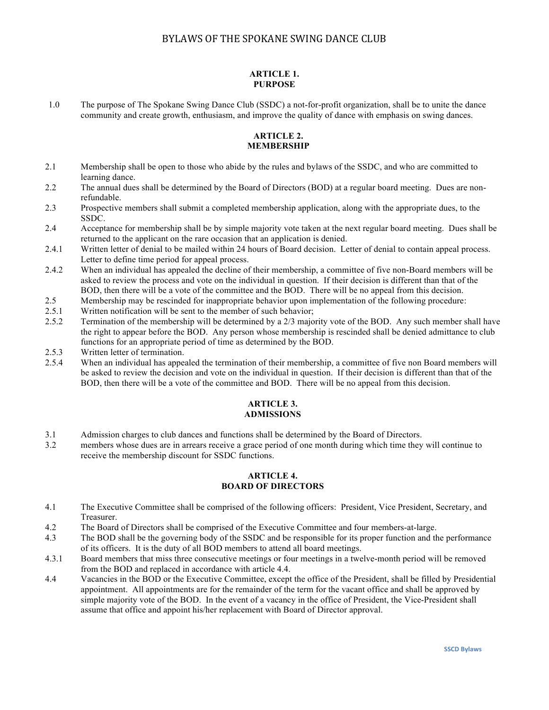### **ARTICLE 1. PURPOSE**

1.0 The purpose of The Spokane Swing Dance Club (SSDC) a not-for-profit organization, shall be to unite the dance community and create growth, enthusiasm, and improve the quality of dance with emphasis on swing dances.

### **ARTICLE 2. MEMBERSHIP**

- 2.1 Membership shall be open to those who abide by the rules and bylaws of the SSDC, and who are committed to learning dance.
- 2.2 The annual dues shall be determined by the Board of Directors (BOD) at a regular board meeting. Dues are nonrefundable.
- 2.3 Prospective members shall submit a completed membership application, along with the appropriate dues, to the SSDC.
- 2.4 Acceptance for membership shall be by simple majority vote taken at the next regular board meeting. Dues shall be returned to the applicant on the rare occasion that an application is denied.
- 2.4.1 Written letter of denial to be mailed within 24 hours of Board decision. Letter of denial to contain appeal process. Letter to define time period for appeal process.
- 2.4.2 When an individual has appealed the decline of their membership, a committee of five non-Board members will be asked to review the process and vote on the individual in question. If their decision is different than that of the BOD, then there will be a vote of the committee and the BOD. There will be no appeal from this decision.
- 2.5 Membership may be rescinded for inappropriate behavior upon implementation of the following procedure:
- 2.5.1 Written notification will be sent to the member of such behavior;
- 2.5.2 Termination of the membership will be determined by a 2/3 majority vote of the BOD. Any such member shall have the right to appear before the BOD. Any person whose membership is rescinded shall be denied admittance to club functions for an appropriate period of time as determined by the BOD.
- 2.5.3 Written letter of termination.
- 2.5.4 When an individual has appealed the termination of their membership, a committee of five non Board members will be asked to review the decision and vote on the individual in question. If their decision is different than that of the BOD, then there will be a vote of the committee and BOD. There will be no appeal from this decision.

#### **ARTICLE 3. ADMISSIONS**

- 3.1 Admission charges to club dances and functions shall be determined by the Board of Directors.
- 3.2 members whose dues are in arrears receive a grace period of one month during which time they will continue to receive the membership discount for SSDC functions.

### **ARTICLE 4. BOARD OF DIRECTORS**

- 4.1 The Executive Committee shall be comprised of the following officers: President, Vice President, Secretary, and Treasurer.
- 4.2 The Board of Directors shall be comprised of the Executive Committee and four members-at-large.
- 4.3 The BOD shall be the governing body of the SSDC and be responsible for its proper function and the performance of its officers. It is the duty of all BOD members to attend all board meetings.
- 4.3.1 Board members that miss three consecutive meetings or four meetings in a twelve-month period will be removed from the BOD and replaced in accordance with article 4.4.
- 4.4 Vacancies in the BOD or the Executive Committee, except the office of the President, shall be filled by Presidential appointment. All appointments are for the remainder of the term for the vacant office and shall be approved by simple majority vote of the BOD. In the event of a vacancy in the office of President, the Vice-President shall assume that office and appoint his/her replacement with Board of Director approval.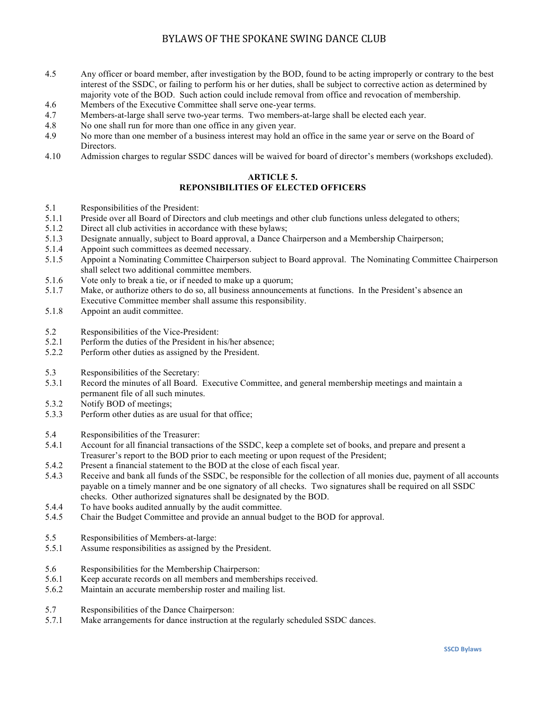- 4.5 Any officer or board member, after investigation by the BOD, found to be acting improperly or contrary to the best interest of the SSDC, or failing to perform his or her duties, shall be subject to corrective action as determined by majority vote of the BOD. Such action could include removal from office and revocation of membership.
- 4.6 Members of the Executive Committee shall serve one-year terms.
- 4.7 Members-at-large shall serve two-year terms. Two members-at-large shall be elected each year.
- 4.8 No one shall run for more than one office in any given year.
- 4.9 No more than one member of a business interest may hold an office in the same year or serve on the Board of Directors.
- 4.10 Admission charges to regular SSDC dances will be waived for board of director's members (workshops excluded).

### **ARTICLE 5. REPONSIBILITIES OF ELECTED OFFICERS**

- 5.1 Responsibilities of the President:
- 5.1.1 Preside over all Board of Directors and club meetings and other club functions unless delegated to others;
- 5.1.2 Direct all club activities in accordance with these bylaws;
- 5.1.3 Designate annually, subject to Board approval, a Dance Chairperson and a Membership Chairperson;
- 5.1.4 Appoint such committees as deemed necessary.
- 5.1.5 Appoint a Nominating Committee Chairperson subject to Board approval. The Nominating Committee Chairperson shall select two additional committee members.
- 5.1.6 Vote only to break a tie, or if needed to make up a quorum;
- 5.1.7 Make, or authorize others to do so, all business announcements at functions. In the President's absence an Executive Committee member shall assume this responsibility.
- 5.1.8 Appoint an audit committee.
- 5.2 Responsibilities of the Vice-President:
- 5.2.1 Perform the duties of the President in his/her absence;
- 5.2.2 Perform other duties as assigned by the President.
- 5.3 Responsibilities of the Secretary:
- 5.3.1 Record the minutes of all Board. Executive Committee, and general membership meetings and maintain a permanent file of all such minutes.
- 5.3.2 Notify BOD of meetings;
- 5.3.3 Perform other duties as are usual for that office;
- 5.4 Responsibilities of the Treasurer:
- 5.4.1 Account for all financial transactions of the SSDC, keep a complete set of books, and prepare and present a Treasurer's report to the BOD prior to each meeting or upon request of the President;
- 5.4.2 Present a financial statement to the BOD at the close of each fiscal year.
- 5.4.3 Receive and bank all funds of the SSDC, be responsible for the collection of all monies due, payment of all accounts payable on a timely manner and be one signatory of all checks. Two signatures shall be required on all SSDC checks. Other authorized signatures shall be designated by the BOD.
- 5.4.4 To have books audited annually by the audit committee.
- 5.4.5 Chair the Budget Committee and provide an annual budget to the BOD for approval.
- 5.5 Responsibilities of Members-at-large:
- 5.5.1 Assume responsibilities as assigned by the President.
- 5.6 Responsibilities for the Membership Chairperson:
- 5.6.1 Keep accurate records on all members and memberships received.
- 5.6.2 Maintain an accurate membership roster and mailing list.
- 5.7 Responsibilities of the Dance Chairperson:
- 5.7.1 Make arrangements for dance instruction at the regularly scheduled SSDC dances.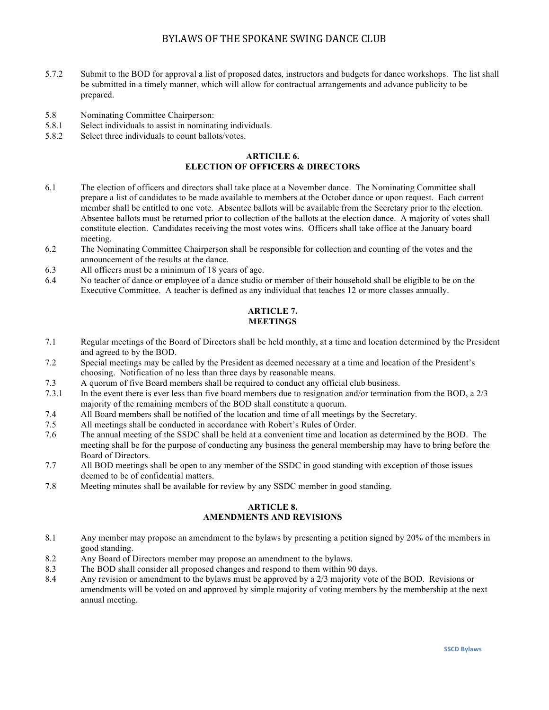- 5.7.2 Submit to the BOD for approval a list of proposed dates, instructors and budgets for dance workshops. The list shall be submitted in a timely manner, which will allow for contractual arrangements and advance publicity to be prepared.
- 5.8 Nominating Committee Chairperson:
- 5.8.1 Select individuals to assist in nominating individuals.
- 5.8.2 Select three individuals to count ballots/votes.

#### **ARTICILE 6. ELECTION OF OFFICERS & DIRECTORS**

- 6.1 The election of officers and directors shall take place at a November dance. The Nominating Committee shall prepare a list of candidates to be made available to members at the October dance or upon request. Each current member shall be entitled to one vote. Absentee ballots will be available from the Secretary prior to the election. Absentee ballots must be returned prior to collection of the ballots at the election dance. A majority of votes shall constitute election. Candidates receiving the most votes wins. Officers shall take office at the January board meeting.
- 6.2 The Nominating Committee Chairperson shall be responsible for collection and counting of the votes and the announcement of the results at the dance.
- 6.3 All officers must be a minimum of 18 years of age.
- 6.4 No teacher of dance or employee of a dance studio or member of their household shall be eligible to be on the Executive Committee. A teacher is defined as any individual that teaches 12 or more classes annually.

### **ARTICLE 7. MEETINGS**

- 7.1 Regular meetings of the Board of Directors shall be held monthly, at a time and location determined by the President and agreed to by the BOD.
- 7.2 Special meetings may be called by the President as deemed necessary at a time and location of the President's choosing. Notification of no less than three days by reasonable means.
- 7.3 A quorum of five Board members shall be required to conduct any official club business.
- 7.3.1 In the event there is ever less than five board members due to resignation and/or termination from the BOD, a 2/3 majority of the remaining members of the BOD shall constitute a quorum.
- 7.4 All Board members shall be notified of the location and time of all meetings by the Secretary.
- 7.5 All meetings shall be conducted in accordance with Robert's Rules of Order.
- 7.6 The annual meeting of the SSDC shall be held at a convenient time and location as determined by the BOD. The meeting shall be for the purpose of conducting any business the general membership may have to bring before the Board of Directors.
- 7.7 All BOD meetings shall be open to any member of the SSDC in good standing with exception of those issues deemed to be of confidential matters.
- 7.8 Meeting minutes shall be available for review by any SSDC member in good standing.

#### **ARTICLE 8. AMENDMENTS AND REVISIONS**

- 8.1 Any member may propose an amendment to the bylaws by presenting a petition signed by 20% of the members in good standing.
- 8.2 Any Board of Directors member may propose an amendment to the bylaws.
- 8.3 The BOD shall consider all proposed changes and respond to them within 90 days.
- 8.4 Any revision or amendment to the bylaws must be approved by a 2/3 majority vote of the BOD. Revisions or amendments will be voted on and approved by simple majority of voting members by the membership at the next annual meeting.